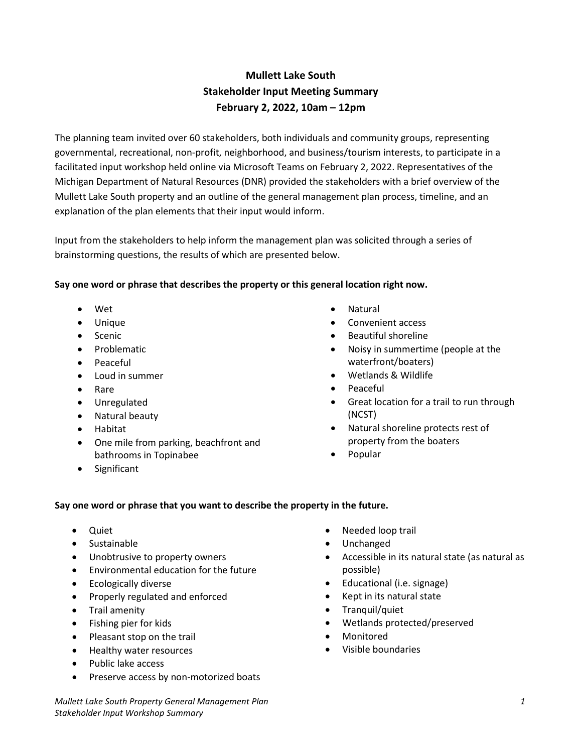# **Mullett Lake South Stakeholder Input Meeting Summary February 2, 2022, 10am – 12pm**

The planning team invited over 60 stakeholders, both individuals and community groups, representing governmental, recreational, non‐profit, neighborhood, and business/tourism interests, to participate in a facilitated input workshop held online via Microsoft Teams on February 2, 2022. Representatives of the Michigan Department of Natural Resources (DNR) provided the stakeholders with a brief overview of the Mullett Lake South property and an outline of the general management plan process, timeline, and an explanation of the plan elements that their input would inform.

Input from the stakeholders to help inform the management plan was solicited through a series of brainstorming questions, the results of which are presented below.

## **Say one word or phrase that describes the property or this general location right now.**

- Wet
- Unique
- **Scenic**
- Problematic
- Peaceful
- Loud in summer
- Rare
- Unregulated
- Natural beauty
- Habitat
- One mile from parking, beachfront and bathrooms in Topinabee
- Significant
- **Natural**
- Convenient access
- Beautiful shoreline
- Noisy in summertime (people at the waterfront/boaters)
- Wetlands & Wildlife
- Peaceful
- Great location for a trail to run through (NCST)
- Natural shoreline protects rest of property from the boaters
- Popular

## **Say one word or phrase that you want to describe the property in the future.**

- Quiet
- Sustainable
- Unobtrusive to property owners
- Environmental education for the future
- Ecologically diverse
- Properly regulated and enforced
- Trail amenity
- Fishing pier for kids
- Pleasant stop on the trail
- Healthy water resources
- Public lake access
- Preserve access by non-motorized boats
- Needed loop trail
- Unchanged
- Accessible in its natural state (as natural as possible)
- Educational (i.e. signage)
- Kept in its natural state
- Tranquil/quiet
- Wetlands protected/preserved
- **Monitored**
- Visible boundaries

*Mullett Lake South Property General Management Plan 1 Stakeholder Input Workshop Summary*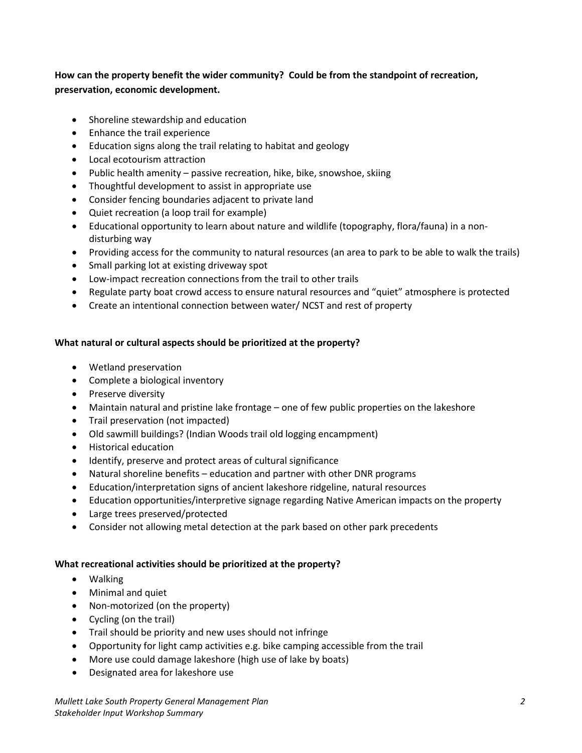**How can the property benefit the wider community? Could be from the standpoint of recreation, preservation, economic development.**

- Shoreline stewardship and education
- Enhance the trail experience
- Education signs along the trail relating to habitat and geology
- Local ecotourism attraction
- Public health amenity passive recreation, hike, bike, snowshoe, skiing
- Thoughtful development to assist in appropriate use
- Consider fencing boundaries adjacent to private land
- Quiet recreation (a loop trail for example)
- Educational opportunity to learn about nature and wildlife (topography, flora/fauna) in a nondisturbing way
- Providing access for the community to natural resources (an area to park to be able to walk the trails)
- Small parking lot at existing driveway spot
- Low-impact recreation connections from the trail to other trails
- Regulate party boat crowd access to ensure natural resources and "quiet" atmosphere is protected
- Create an intentional connection between water/ NCST and rest of property

#### **What natural or cultural aspects should be prioritized at the property?**

- Wetland preservation
- Complete a biological inventory
- Preserve diversity
- Maintain natural and pristine lake frontage one of few public properties on the lakeshore
- Trail preservation (not impacted)
- Old sawmill buildings? (Indian Woods trail old logging encampment)
- Historical education
- Identify, preserve and protect areas of cultural significance
- Natural shoreline benefits education and partner with other DNR programs
- Education/interpretation signs of ancient lakeshore ridgeline, natural resources
- Education opportunities/interpretive signage regarding Native American impacts on the property
- Large trees preserved/protected
- Consider not allowing metal detection at the park based on other park precedents

#### **What recreational activities should be prioritized at the property?**

- Walking
- Minimal and quiet
- Non-motorized (on the property)
- Cycling (on the trail)
- Trail should be priority and new uses should not infringe
- Opportunity for light camp activities e.g. bike camping accessible from the trail
- More use could damage lakeshore (high use of lake by boats)
- Designated area for lakeshore use

*Mullett Lake South Property General Management Plan 2 Stakeholder Input Workshop Summary*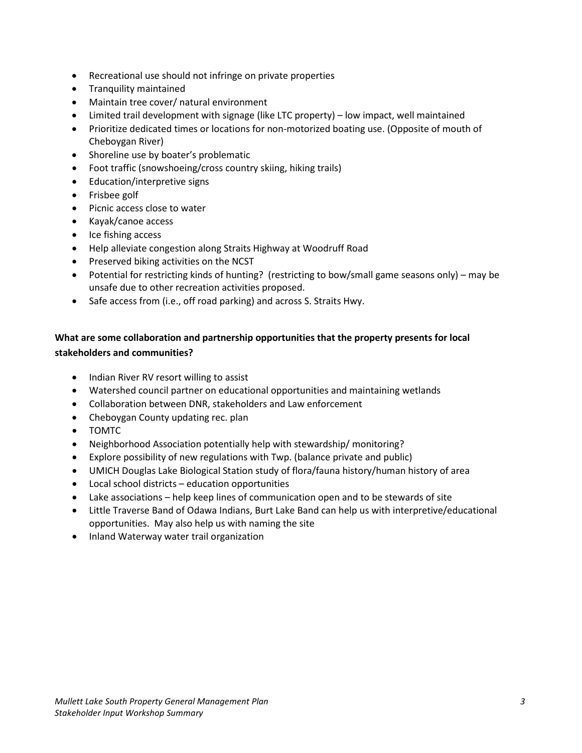- Recreational use should not infringe on private properties
- Tranquility maintained
- Maintain tree cover/ natural environment
- Limited trail development with signage (like LTC property) low impact, well maintained
- Prioritize dedicated times or locations for non-motorized boating use. (Opposite of mouth of Cheboygan River)
- Shoreline use by boater's problematic
- Foot traffic (snowshoeing/cross country skiing, hiking trails)
- Education/interpretive signs
- Frisbee golf
- Picnic access close to water
- Kayak/canoe access
- Ice fishing access
- Help alleviate congestion along Straits Highway at Woodruff Road
- Preserved biking activities on the NCST
- Potential for restricting kinds of hunting? (restricting to bow/small game seasons only) may be unsafe due to other recreation activities proposed.
- Safe access from (i.e., off road parking) and across S. Straits Hwy.

# **What are some collaboration and partnership opportunities that the property presents for local stakeholders and communities?**

- Indian River RV resort willing to assist
- Watershed council partner on educational opportunities and maintaining wetlands
- Collaboration between DNR, stakeholders and Law enforcement
- Cheboygan County updating rec. plan
- TOMTC
- Neighborhood Association potentially help with stewardship/ monitoring?
- Explore possibility of new regulations with Twp. (balance private and public)
- UMICH Douglas Lake Biological Station study of flora/fauna history/human history of area
- Local school districts education opportunities
- Lake associations help keep lines of communication open and to be stewards of site
- Little Traverse Band of Odawa Indians, Burt Lake Band can help us with interpretive/educational opportunities. May also help us with naming the site
- Inland Waterway water trail organization